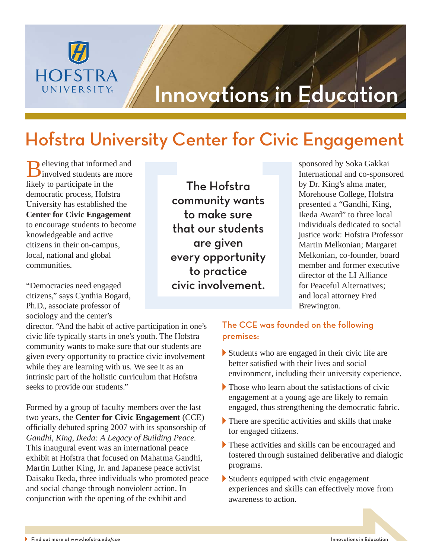

# Innovations in Education

## Hofstra University Center for Civic Engagement

Believing that informed and<br>involved students are more likely to participate in the democratic process, Hofstra University has established the **Center for Civic Engagement** to encourage students to become knowledgeable and active citizens in their on-campus, local, national and global communities.

"Democracies need engaged citizens," says Cynthia Bogard, Ph.D., associate professor of sociology and the center's

director. "And the habit of active participation in one's civic life typically starts in one's youth. The Hofstra community wants to make sure that our students are given every opportunity to practice civic involvement while they are learning with us. We see it as an intrinsic part of the holistic curriculum that Hofstra seeks to provide our students."

Formed by a group of faculty members over the last two years, the **Center for Civic Engagement** (CCE) officially debuted spring 2007 with its sponsorship of *Gandhi, King, Ikeda: A Legacy of Building Peace*. This inaugural event was an international peace exhibit at Hofstra that focused on Mahatma Gandhi, Martin Luther King, Jr. and Japanese peace activist Daisaku Ikeda, three individuals who promoted peace and social change through nonviolent action. In conjunction with the opening of the exhibit and

The Hofstra community wants to make sure that our students are given every opportunity to practice civic involvement.

sponsored by Soka Gakkai International and co-sponsored by Dr. King's alma mater, Morehouse College, Hofstra presented a "Gandhi, King, Ikeda Award" to three local individuals dedicated to social justice work: Hofstra Professor Martin Melkonian; Margaret Melkonian, co-founder, board member and former executive director of the LI Alliance for Peaceful Alternatives; and local attorney Fred Brewington.

#### The CCE was founded on the following premises:

- Students who are engaged in their civic life are better satisfied with their lives and social environment, including their university experience.
- Those who learn about the satisfactions of civic engagement at a young age are likely to remain engaged, thus strengthening the democratic fabric.
- There are specific activities and skills that make for engaged citizens.
- These activities and skills can be encouraged and fostered through sustained deliberative and dialogic programs.
- Students equipped with civic engagement experiences and skills can effectively move from awareness to action.

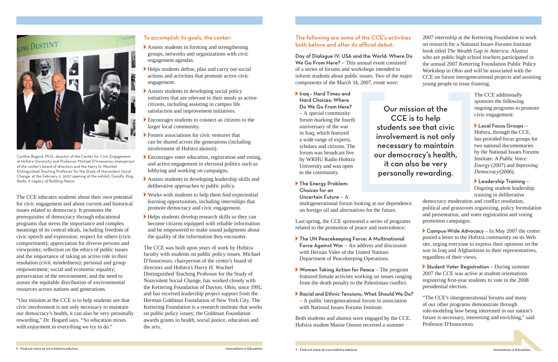"Our mission at the CCE is to help students see that civic involvement is not only necessary to maintain our democracy's health, it can also be very personally rewarding," Dr. Bogard says. "So education mixes with enjoyment in everything we try to do."

The CCE educates students about their own potential for civic engagement and about current and historical issues related to democracy. It promotes the prerequisites of democracy through educational programs that stress the importance and complex meanings of its central ideals, including freedom of civic speech and expression; respect for others (civic comportment); appreciation for diverse persons and viewpoints; reflection on the ethics of public issues and the importance of taking an active role in their resolution (civic mindedness); personal and group empowerment; social and economic equality; preservation of the environment; and the need to assure the equitable distribution of environmental resources across nations and generations.

#### To accomplish its goals, the center:

#### The following are some of the CCE's activities both before and after its official debut:

- Assists students in forming and strengthening groups, networks and organizations with civic engagement agendas.
- Helps students define, plan and carry out social actions and activities that promote active civic engagement.
- Assists students in developing social policy initiatives that are relevant to their needs as active citizens, including assisting in campus life satisfaction and improvement initiatives.
- Encourages students to connect as citizens to the larger local community.
- - Fosters associations for civic ventures that can be shared across the generations (including involvement of Hofstra alumni).
- Encourages voter education, registration and voting, and active engagement in electoral politics such as lobbying and working on campaigns.
- Assists students in developing leadership skills and deliberative approaches to public policy.
- Works with students to help them find experiential learning opportunities, including internships that promote democracy and civic engagement.
- Helps students develop research skills so they can become citizens equipped with reliable information and be empowered to make sound judgments about the quality of the information they encounter.

 $\blacktriangleright$  Leadership Training  $-$ Ongoing student leadership training in deliberative

The CCE was built upon years of work by Hofstra faculty with students on public policy issues. Michael D'Innocenzo, chairperson of the center's board of directors and Hofstra's Harry H. Wachtel Distinguished Teaching Professor for the Study of Nonviolent Social Change, has worked closely with the Kettering Foundation of Dayton, Ohio, since 1991, and has received leadership project support from the Herman Goldman Foundation of New York City. The Kettering Foundation is a research institute that works on public policy issues; the Goldman Foundation awards grants in health, social justice, education and the arts.

Campus-Wide Advocacy - In May 2007 the center posted a letter to the Hofstra community on its Web site, urging everyone to express their opinions on the war in Iraq and Afghanistan to their representatives, regardless of their views.

Student Voter Registration - During summer 2007 the CCE was active at student orientations registering first-year students to vote in the 2008 presidential election.

- Iraq – Hard Times and Hard Choices: Where Do We Go From Here? – A special community forum marking the fourth anniversary of the war in Iraq, which featured a wide range of experts, scholars and citizens. The forum was broadcast live by WRHU Radio Hofstra University and was open to the community.

- The Energy Problem: Choices for an Uncertain Future – A

related to the promotion of peace and nonviolence:

Day of Dialogue IV: USA and the World: Where Do We Go From Here? – This annual event consisted of a series of forums and workshops intended to inform students about public issues. Two of the major components of the March 14, 2007, event were: who are public high school teachers participated in the annual 2007 Kettering Foundation Public Policy Workshop in Ohio and will be associated with the CCE on future intergenerational projects and assisting young people in issue framing.

- The UN Peacekeeping Force: A Multinational Force Against War – An address and discussion with Hernán Vales of the United Nations Department of Peacekeeping Operations.
- Women Taking Action for Peace The program featured female activists working on issues ranging from the death penalty to the Palestinian conflict.
- Racial and Ethnic Tensions; What Should We Do? – A public intergenerational forum in association with National Issues Forums Institute.

2007 internship at the Kettering Foundation to work on research for a National Issues Forums Institute book titled *The Wealth Gap in America*. Alumni

multigenerational forum looking at our dependence on foreign oil and alternatives for the future. Last spring, the CCE sponsored a series of programs democracy moderation and conflict resolution. political and grassroots organizing, policy formulation and presentation, and voter registration and voting promotion campaigns.

The CCE additionally sponsors the following ongoing programs to promote civic engagement:

- Local Focus Groups – Hofstra, through the CCE, has provided focus groups for two national documentaries by the National Issues Forums Institute: *A Public Voice: Energy* (2007) and *Improving Democracy*(2006).

Both students and alumni were engaged by the CCE. Hofstra student Maisie Osteen received a summer "The CCE's intergenerational forums and many of our other programs demonstrate through role-modeling how being interested in our nation's future is necessary, interesting and enriching," said Professor D'Innocenzo.



Cynthia Bogard, Ph.D., director of the Center for Civic Engagement at Hofstra University, and Professor Michael D'Innocenzo, chairperson of the center's board of directors and the Harry H. Wachtel Distinguished Teaching Professor for the Study of Nonviolent Social Change, at the February 2, 2007 opening of the exhibit, Gandhi, King, Ikeda: A Legacy of Building Peace.

Our mission at the CCE is to help students see that civic involvement is not only necessary to maintain our democracy's health, it can also be very personally rewarding.